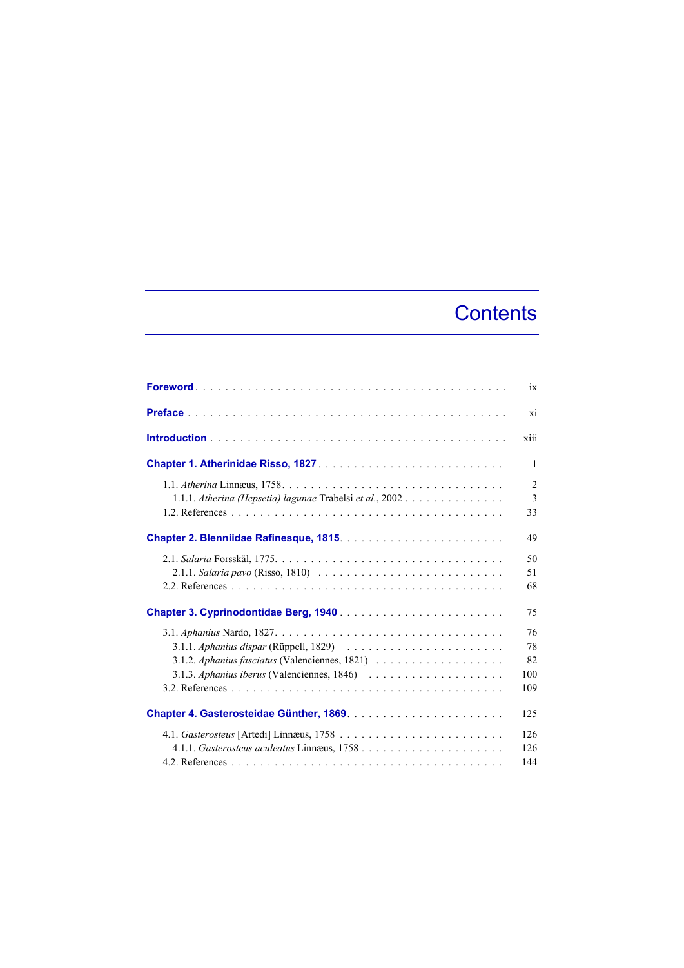## **Contents**

|                                                           | ix                           |
|-----------------------------------------------------------|------------------------------|
|                                                           | xi                           |
|                                                           | xiii                         |
|                                                           | 1                            |
| 1.1.1. Atherina (Hepsetia) lagunae Trabelsi et al., 2002. | $\overline{2}$<br>3<br>33    |
|                                                           | 49                           |
|                                                           | 50<br>51<br>68               |
|                                                           | 75                           |
|                                                           | 76<br>78<br>82<br>100<br>109 |
|                                                           | 125                          |
|                                                           | 126<br>126<br>144            |

 $\overline{\phantom{a}}$ 

I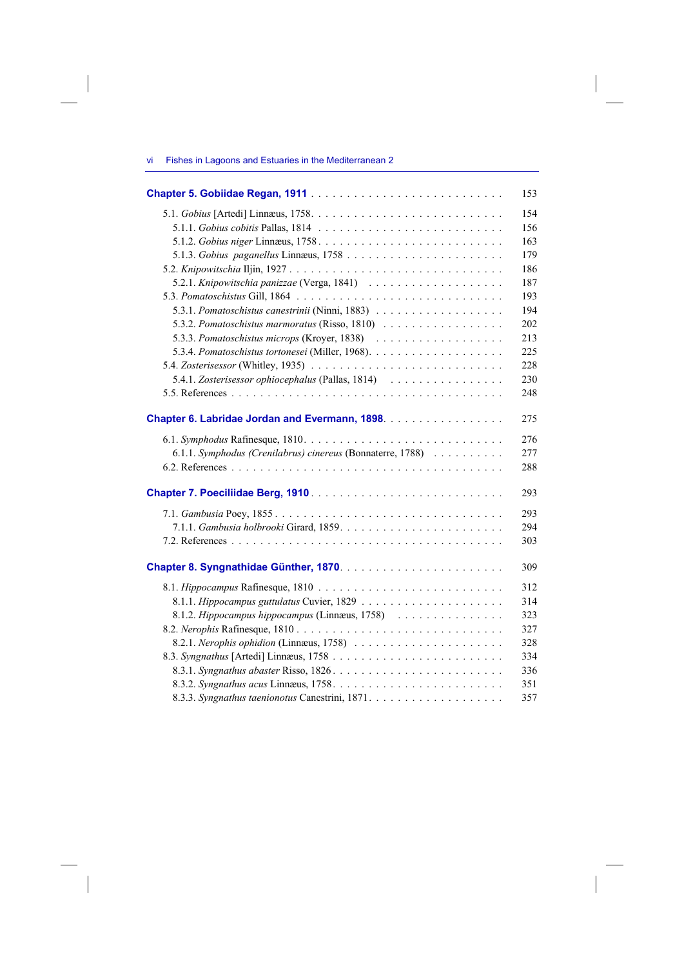| Fishes in Lagoons and Estuaries in the Mediterranean 2<br>vil |
|---------------------------------------------------------------|
|---------------------------------------------------------------|

|                                                            | 153 |
|------------------------------------------------------------|-----|
|                                                            | 154 |
|                                                            | 156 |
|                                                            | 163 |
|                                                            | 179 |
|                                                            | 186 |
|                                                            | 187 |
|                                                            | 193 |
|                                                            | 194 |
| 5.3.2. Pomatoschistus marmoratus (Risso, 1810)             | 202 |
|                                                            | 213 |
|                                                            | 225 |
|                                                            | 228 |
| 5.4.1. Zosterisessor ophiocephalus (Pallas, 1814)          | 230 |
|                                                            | 248 |
| Chapter 6. Labridae Jordan and Evermann, 1898.             | 275 |
|                                                            | 276 |
| 6.1.1. Symphodus (Crenilabrus) cinereus (Bonnaterre, 1788) | 277 |
|                                                            | 288 |
|                                                            | 293 |
|                                                            | 293 |
|                                                            | 294 |
|                                                            | 303 |
|                                                            | 309 |
|                                                            | 312 |
|                                                            | 314 |
| 8.1.2. Hippocampus hippocampus (Linnæus, 1758)             | 323 |
|                                                            | 327 |
|                                                            | 328 |
|                                                            | 334 |
|                                                            | 336 |
|                                                            | 351 |
|                                                            | 357 |